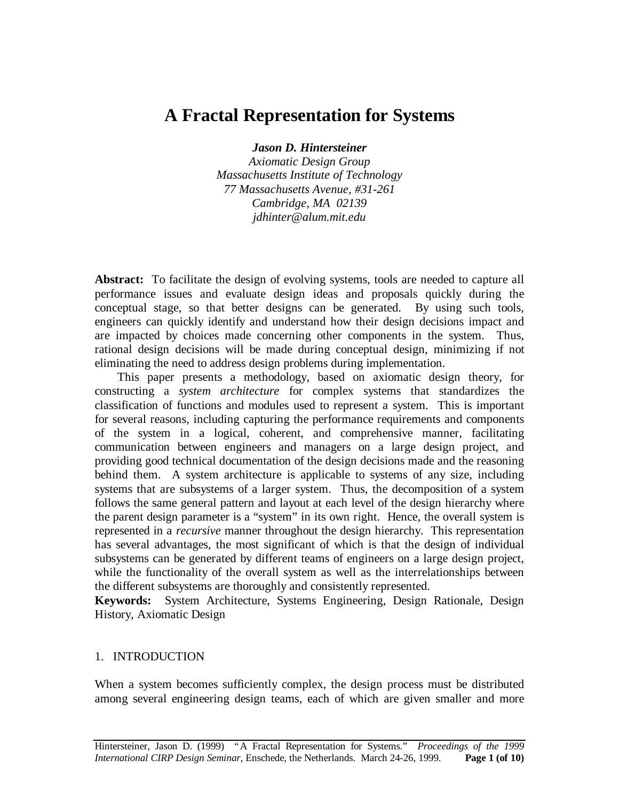# **A Fractal Representation for Systems**

*Jason D. Hintersteiner*

*Axiomatic Design Group Massachusetts Institute of Technology 77 Massachusetts Avenue, #31-261 Cambridge, MA 02139 jdhinter@alum.mit.edu*

**Abstract:** To facilitate the design of evolving systems, tools are needed to capture all performance issues and evaluate design ideas and proposals quickly during the conceptual stage, so that better designs can be generated. By using such tools, engineers can quickly identify and understand how their design decisions impact and are impacted by choices made concerning other components in the system. Thus, rational design decisions will be made during conceptual design, minimizing if not eliminating the need to address design problems during implementation.

This paper presents a methodology, based on axiomatic design theory, for constructing a *system architecture* for complex systems that standardizes the classification of functions and modules used to represent a system. This is important for several reasons, including capturing the performance requirements and components of the system in a logical, coherent, and comprehensive manner, facilitating communication between engineers and managers on a large design project, and providing good technical documentation of the design decisions made and the reasoning behind them. A system architecture is applicable to systems of any size, including systems that are subsystems of a larger system. Thus, the decomposition of a system follows the same general pattern and layout at each level of the design hierarchy where the parent design parameter is a "system" in its own right. Hence, the overall system is represented in a *recursive* manner throughout the design hierarchy. This representation has several advantages, the most significant of which is that the design of individual subsystems can be generated by different teams of engineers on a large design project, while the functionality of the overall system as well as the interrelationships between the different subsystems are thoroughly and consistently represented.

**Keywords:** System Architecture, Systems Engineering, Design Rationale, Design History, Axiomatic Design

## 1. INTRODUCTION

When a system becomes sufficiently complex, the design process must be distributed among several engineering design teams, each of which are given smaller and more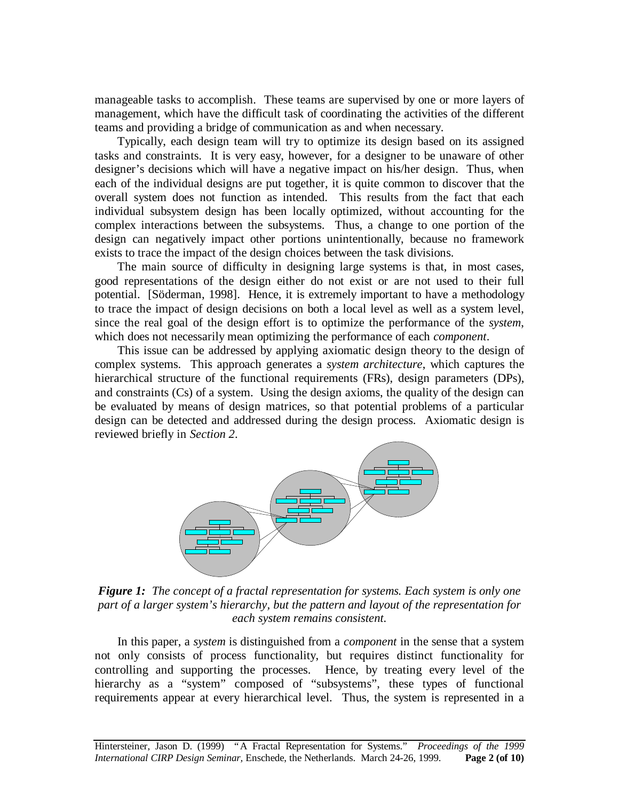manageable tasks to accomplish. These teams are supervised by one or more layers of management, which have the difficult task of coordinating the activities of the different teams and providing a bridge of communication as and when necessary.

Typically, each design team will try to optimize its design based on its assigned tasks and constraints. It is very easy, however, for a designer to be unaware of other designer's decisions which will have a negative impact on his/her design. Thus, when each of the individual designs are put together, it is quite common to discover that the overall system does not function as intended. This results from the fact that each individual subsystem design has been locally optimized, without accounting for the complex interactions between the subsystems. Thus, a change to one portion of the design can negatively impact other portions unintentionally, because no framework exists to trace the impact of the design choices between the task divisions.

The main source of difficulty in designing large systems is that, in most cases, good representations of the design either do not exist or are not used to their full potential. [Söderman, 1998]. Hence, it is extremely important to have a methodology to trace the impact of design decisions on both a local level as well as a system level, since the real goal of the design effort is to optimize the performance of the *system*, which does not necessarily mean optimizing the performance of each *component*.

This issue can be addressed by applying axiomatic design theory to the design of complex systems. This approach generates a *system architecture*, which captures the hierarchical structure of the functional requirements (FRs), design parameters (DPs), and constraints (Cs) of a system. Using the design axioms, the quality of the design can be evaluated by means of design matrices, so that potential problems of a particular design can be detected and addressed during the design process. Axiomatic design is reviewed briefly in *Section 2*.



*Figure 1: The concept of a fractal representation for systems. Each system is only one part of a larger system's hierarchy, but the pattern and layout of the representation for each system remains consistent.*

In this paper, a *system* is distinguished from a *component* in the sense that a system not only consists of process functionality, but requires distinct functionality for controlling and supporting the processes. Hence, by treating every level of the hierarchy as a "system" composed of "subsystems", these types of functional requirements appear at every hierarchical level. Thus, the system is represented in a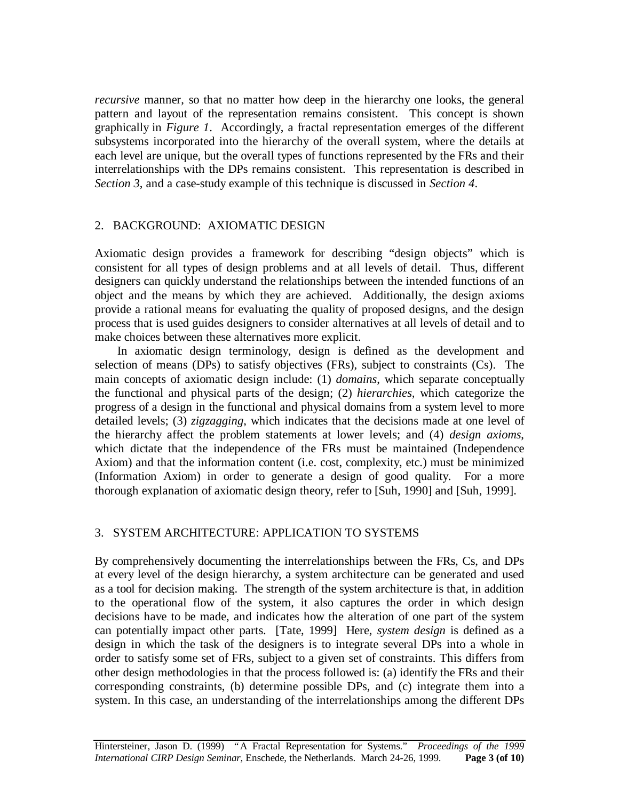*recursive* manner, so that no matter how deep in the hierarchy one looks, the general pattern and layout of the representation remains consistent. This concept is shown graphically in *Figure 1*. Accordingly, a fractal representation emerges of the different subsystems incorporated into the hierarchy of the overall system, where the details at each level are unique, but the overall types of functions represented by the FRs and their interrelationships with the DPs remains consistent. This representation is described in *Section 3*, and a case-study example of this technique is discussed in *Section 4*.

#### 2. BACKGROUND: AXIOMATIC DESIGN

Axiomatic design provides a framework for describing "design objects" which is consistent for all types of design problems and at all levels of detail. Thus, different designers can quickly understand the relationships between the intended functions of an object and the means by which they are achieved. Additionally, the design axioms provide a rational means for evaluating the quality of proposed designs, and the design process that is used guides designers to consider alternatives at all levels of detail and to make choices between these alternatives more explicit.

In axiomatic design terminology, design is defined as the development and selection of means (DPs) to satisfy objectives (FRs), subject to constraints (Cs). The main concepts of axiomatic design include: (1) *domains*, which separate conceptually the functional and physical parts of the design; (2) *hierarchies,* which categorize the progress of a design in the functional and physical domains from a system level to more detailed levels; (3) *zigzagging*, which indicates that the decisions made at one level of the hierarchy affect the problem statements at lower levels; and (4) *design axioms*, which dictate that the independence of the FRs must be maintained (Independence Axiom) and that the information content (i.e. cost, complexity, etc.) must be minimized (Information Axiom) in order to generate a design of good quality. For a more thorough explanation of axiomatic design theory, refer to [Suh, 1990] and [Suh, 1999].

#### 3. SYSTEM ARCHITECTURE: APPLICATION TO SYSTEMS

By comprehensively documenting the interrelationships between the FRs, Cs, and DPs at every level of the design hierarchy, a system architecture can be generated and used as a tool for decision making. The strength of the system architecture is that, in addition to the operational flow of the system, it also captures the order in which design decisions have to be made, and indicates how the alteration of one part of the system can potentially impact other parts. [Tate, 1999] Here, *system design* is defined as a design in which the task of the designers is to integrate several DPs into a whole in order to satisfy some set of FRs, subject to a given set of constraints. This differs from other design methodologies in that the process followed is: (a) identify the FRs and their corresponding constraints, (b) determine possible DPs, and (c) integrate them into a system. In this case, an understanding of the interrelationships among the different DPs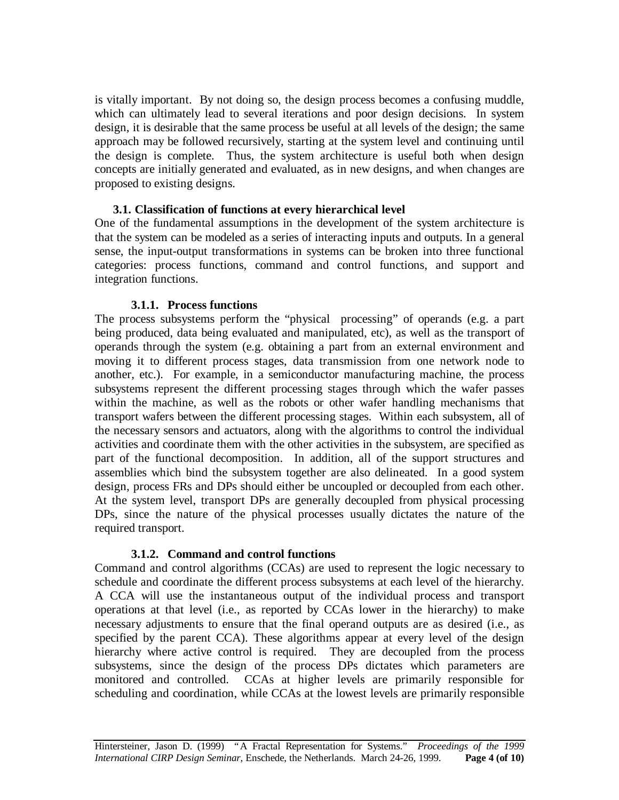is vitally important. By not doing so, the design process becomes a confusing muddle, which can ultimately lead to several iterations and poor design decisions. In system design, it is desirable that the same process be useful at all levels of the design; the same approach may be followed recursively, starting at the system level and continuing until the design is complete. Thus, the system architecture is useful both when design concepts are initially generated and evaluated, as in new designs, and when changes are proposed to existing designs.

## **3.1. Classification of functions at every hierarchical level**

One of the fundamental assumptions in the development of the system architecture is that the system can be modeled as a series of interacting inputs and outputs. In a general sense, the input-output transformations in systems can be broken into three functional categories: process functions, command and control functions, and support and integration functions.

#### **3.1.1. Process functions**

The process subsystems perform the "physical processing" of operands (e.g. a part being produced, data being evaluated and manipulated, etc), as well as the transport of operands through the system (e.g. obtaining a part from an external environment and moving it to different process stages, data transmission from one network node to another, etc.). For example, in a semiconductor manufacturing machine, the process subsystems represent the different processing stages through which the wafer passes within the machine, as well as the robots or other wafer handling mechanisms that transport wafers between the different processing stages. Within each subsystem, all of the necessary sensors and actuators, along with the algorithms to control the individual activities and coordinate them with the other activities in the subsystem, are specified as part of the functional decomposition. In addition, all of the support structures and assemblies which bind the subsystem together are also delineated. In a good system design, process FRs and DPs should either be uncoupled or decoupled from each other. At the system level, transport DPs are generally decoupled from physical processing DPs, since the nature of the physical processes usually dictates the nature of the required transport.

## **3.1.2. Command and control functions**

Command and control algorithms (CCAs) are used to represent the logic necessary to schedule and coordinate the different process subsystems at each level of the hierarchy. A CCA will use the instantaneous output of the individual process and transport operations at that level (i.e., as reported by CCAs lower in the hierarchy) to make necessary adjustments to ensure that the final operand outputs are as desired (i.e., as specified by the parent CCA). These algorithms appear at every level of the design hierarchy where active control is required. They are decoupled from the process subsystems, since the design of the process DPs dictates which parameters are monitored and controlled. CCAs at higher levels are primarily responsible for scheduling and coordination, while CCAs at the lowest levels are primarily responsible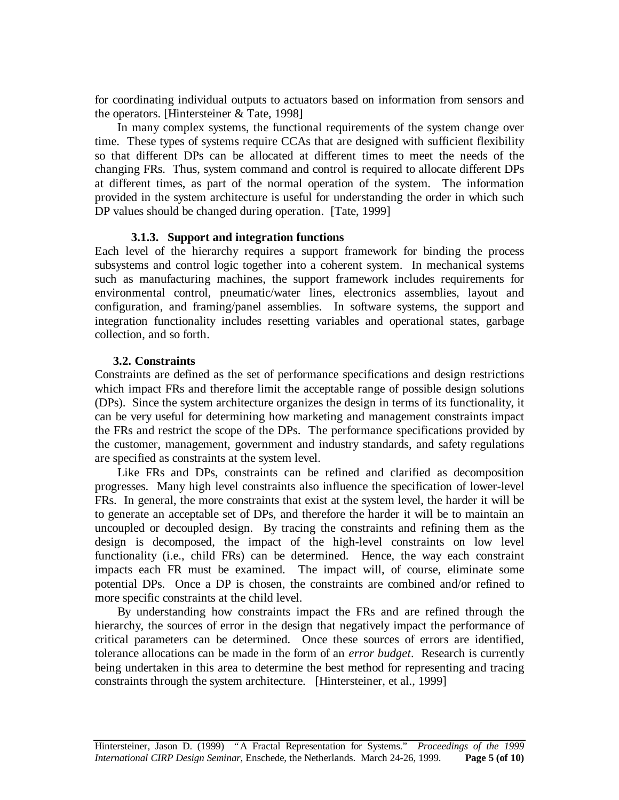for coordinating individual outputs to actuators based on information from sensors and the operators. [Hintersteiner & Tate, 1998]

In many complex systems, the functional requirements of the system change over time. These types of systems require CCAs that are designed with sufficient flexibility so that different DPs can be allocated at different times to meet the needs of the changing FRs. Thus, system command and control is required to allocate different DPs at different times, as part of the normal operation of the system. The information provided in the system architecture is useful for understanding the order in which such DP values should be changed during operation. [Tate, 1999]

#### **3.1.3. Support and integration functions**

Each level of the hierarchy requires a support framework for binding the process subsystems and control logic together into a coherent system. In mechanical systems such as manufacturing machines, the support framework includes requirements for environmental control, pneumatic/water lines, electronics assemblies, layout and configuration, and framing/panel assemblies. In software systems, the support and integration functionality includes resetting variables and operational states, garbage collection, and so forth.

## **3.2. Constraints**

Constraints are defined as the set of performance specifications and design restrictions which impact FRs and therefore limit the acceptable range of possible design solutions (DPs). Since the system architecture organizes the design in terms of its functionality, it can be very useful for determining how marketing and management constraints impact the FRs and restrict the scope of the DPs. The performance specifications provided by the customer, management, government and industry standards, and safety regulations are specified as constraints at the system level.

Like FRs and DPs, constraints can be refined and clarified as decomposition progresses. Many high level constraints also influence the specification of lower-level FRs. In general, the more constraints that exist at the system level, the harder it will be to generate an acceptable set of DPs, and therefore the harder it will be to maintain an uncoupled or decoupled design. By tracing the constraints and refining them as the design is decomposed, the impact of the high-level constraints on low level functionality (i.e., child FRs) can be determined. Hence, the way each constraint impacts each FR must be examined. The impact will, of course, eliminate some potential DPs. Once a DP is chosen, the constraints are combined and/or refined to more specific constraints at the child level.

By understanding how constraints impact the FRs and are refined through the hierarchy, the sources of error in the design that negatively impact the performance of critical parameters can be determined. Once these sources of errors are identified, tolerance allocations can be made in the form of an *error budget*. Research is currently being undertaken in this area to determine the best method for representing and tracing constraints through the system architecture. [Hintersteiner, et al., 1999]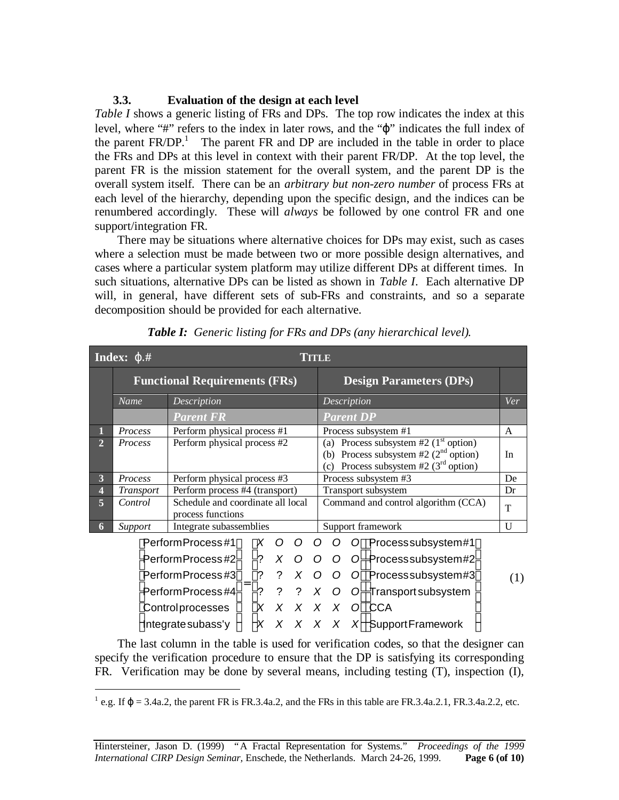# **3.3. Evaluation of the design at each level**

*Table I* shows a generic listing of FRs and DPs. The top row indicates the index at this level, where "#" refers to the index in later rows, and the "ϕ" indicates the full index of the parent  $FR/DP<sup>1</sup>$  The parent  $FR$  and  $DP$  are included in the table in order to place the FRs and DPs at this level in context with their parent FR/DP. At the top level, the parent FR is the mission statement for the overall system, and the parent DP is the overall system itself. There can be an *arbitrary but non-zero number* of process FRs at each level of the hierarchy, depending upon the specific design, and the indices can be renumbered accordingly. These will *always* be followed by one control FR and one support/integration FR.

There may be situations where alternative choices for DPs may exist, such as cases where a selection must be made between two or more possible design alternatives, and cases where a particular system platform may utilize different DPs at different times. In such situations, alternative DPs can be listed as shown in *Table I*. Each alternative DP will, in general, have different sets of sub-FRs and constraints, and so a separate decomposition should be provided for each alternative.

| Index: $\mathbf{i} \cdot \mathbf{H}$<br>Title |         |                          |                                                        |                                                            |                           |                |                         |                   |                                                                                                                                  |   |                                         |     |  |
|-----------------------------------------------|---------|--------------------------|--------------------------------------------------------|------------------------------------------------------------|---------------------------|----------------|-------------------------|-------------------|----------------------------------------------------------------------------------------------------------------------------------|---|-----------------------------------------|-----|--|
|                                               |         |                          | <b>Functional Requirements (FRs)</b>                   |                                                            |                           |                |                         |                   | <b>Design Parameters (DPs)</b>                                                                                                   |   |                                         |     |  |
|                                               | Name    |                          | Description                                            |                                                            |                           |                |                         |                   | Description                                                                                                                      |   |                                         |     |  |
|                                               |         |                          | <b>Parent FR</b>                                       |                                                            |                           |                |                         |                   | <b>Parent DP</b>                                                                                                                 |   |                                         |     |  |
| 1                                             | Process |                          | Perform physical process #1                            |                                                            |                           |                |                         |                   | Process subsystem #1                                                                                                             |   |                                         |     |  |
| $\overline{2}$                                | Process |                          |                                                        |                                                            |                           |                |                         |                   | (a) Process subsystem #2 $(1st$ option)<br>(b) Process subsystem #2 $(2nd$ option)<br>Process subsystem #2 $(3rd$ option)<br>(c) |   |                                         |     |  |
| $\overline{\mathbf{3}}$                       | Process |                          |                                                        | Perform physical process #2<br>Perform physical process #3 |                           |                |                         |                   |                                                                                                                                  |   | Process subsystem #3                    | De  |  |
| $\overline{\mathbf{4}}$                       |         | <b>Transport</b>         | Perform process #4 (transport)                         |                                                            |                           |                |                         |                   | Transport subsystem                                                                                                              |   |                                         |     |  |
| 5                                             | Control |                          | Schedule and coordinate all local<br>process functions |                                                            |                           |                |                         |                   | Command and control algorithm (CCA)                                                                                              |   |                                         |     |  |
| 6                                             | Support | Integrate subassemblies  |                                                        |                                                            |                           |                |                         | Support framework |                                                                                                                                  |   |                                         |     |  |
|                                               |         |                          | PerformProcess#1                                       |                                                            | $\boldsymbol{\mathsf{X}}$ | O              | O                       | O                 | O                                                                                                                                | O | $\parallel$ Process subsystem#1         |     |  |
|                                               |         |                          | PerformProcess#2                                       |                                                            | ?                         |                | $X$ O O                 |                   | O                                                                                                                                | O | Processsubsystem#2                      |     |  |
|                                               |         |                          | PerformProcess#3                                       |                                                            | ?                         |                | ? X O                   |                   | O                                                                                                                                | O | $\parallel$ Process subsystem#3         | (1) |  |
|                                               |         |                          | PerformProcess#4                                       |                                                            | 2                         | $\overline{?}$ | $\overline{\mathbf{?}}$ | $\chi$            | O                                                                                                                                | O | Transport subsystem                     |     |  |
|                                               |         | <b>Control processes</b> |                                                        |                                                            | X                         |                |                         |                   | X X X X O<br><b>CCA</b>                                                                                                          |   |                                         |     |  |
|                                               |         |                          | Integrate subass'y                                     |                                                            | $\chi$                    |                |                         |                   |                                                                                                                                  |   | $X \times X \times X$ Support Framework |     |  |

| Table I: Generic listing for FRs and DPs (any hierarchical level). |  |  |
|--------------------------------------------------------------------|--|--|
|                                                                    |  |  |

The last column in the table is used for verification codes, so that the designer can specify the verification procedure to ensure that the DP is satisfying its corresponding FR. Verification may be done by several means, including testing (T), inspection (I),

<sup>1</sup> e.g. If  $\varphi$  = 3.4a.2, the parent FR is FR.3.4a.2, and the FRs in this table are FR.3.4a.2.1, FR.3.4a.2.2, etc.

 $\overline{a}$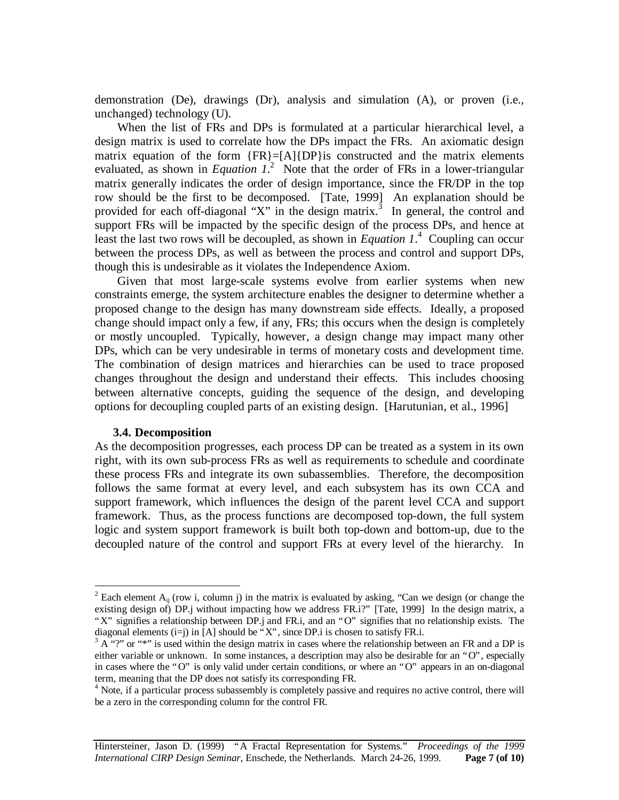demonstration (De), drawings (Dr), analysis and simulation (A), or proven (i.e., unchanged) technology (U).

When the list of FRs and DPs is formulated at a particular hierarchical level, a design matrix is used to correlate how the DPs impact the FRs. An axiomatic design matrix equation of the form  ${FR} = [A] {DP}$  is constructed and the matrix elements evaluated, as shown in *Equation 1*<sup>2</sup>. Note that the order of FRs in a lower-triangular matrix generally indicates the order of design importance, since the FR/DP in the top row should be the first to be decomposed. [Tate, 1999] An explanation should be provided for each off-diagonal "X" in the design matrix.<sup>3</sup> In general, the control and support FRs will be impacted by the specific design of the process DPs, and hence at least the last two rows will be decoupled, as shown in *Equation 1*<sup>4</sup> Coupling can occur between the process DPs, as well as between the process and control and support DPs, though this is undesirable as it violates the Independence Axiom.

Given that most large-scale systems evolve from earlier systems when new constraints emerge, the system architecture enables the designer to determine whether a proposed change to the design has many downstream side effects. Ideally, a proposed change should impact only a few, if any, FRs; this occurs when the design is completely or mostly uncoupled. Typically, however, a design change may impact many other DPs, which can be very undesirable in terms of monetary costs and development time. The combination of design matrices and hierarchies can be used to trace proposed changes throughout the design and understand their effects. This includes choosing between alternative concepts, guiding the sequence of the design, and developing options for decoupling coupled parts of an existing design. [Harutunian, et al., 1996]

#### **3.4. Decomposition**

As the decomposition progresses, each process DP can be treated as a system in its own right, with its own sub-process FRs as well as requirements to schedule and coordinate these process FRs and integrate its own subassemblies. Therefore, the decomposition follows the same format at every level, and each subsystem has its own CCA and support framework, which influences the design of the parent level CCA and support framework. Thus, as the process functions are decomposed top-down, the full system logic and system support framework is built both top-down and bottom-up, due to the decoupled nature of the control and support FRs at every level of the hierarchy. In

<sup>&</sup>lt;sup>2</sup> Each element  $A_{ij}$  (row i, column j) in the matrix is evaluated by asking, "Can we design (or change the existing design of) DP.j without impacting how we address FR.i?" [Tate, 1999] In the design matrix, a "X" signifies a relationship between DP.j and FR.i, and an "O" signifies that no relationship exists. The diagonal elements  $(i=j)$  in [A] should be "X", since DP.i is chosen to satisfy FR.i.

 $3 A$  "?" or "\*" is used within the design matrix in cases where the relationship between an FR and a DP is either variable or unknown. In some instances, a description may also be desirable for an "O", especially in cases where the "O" is only valid under certain conditions, or where an "O" appears in an on-diagonal term, meaning that the DP does not satisfy its corresponding FR.

<sup>&</sup>lt;sup>4</sup> Note, if a particular process subassembly is completely passive and requires no active control, there will be a zero in the corresponding column for the control FR.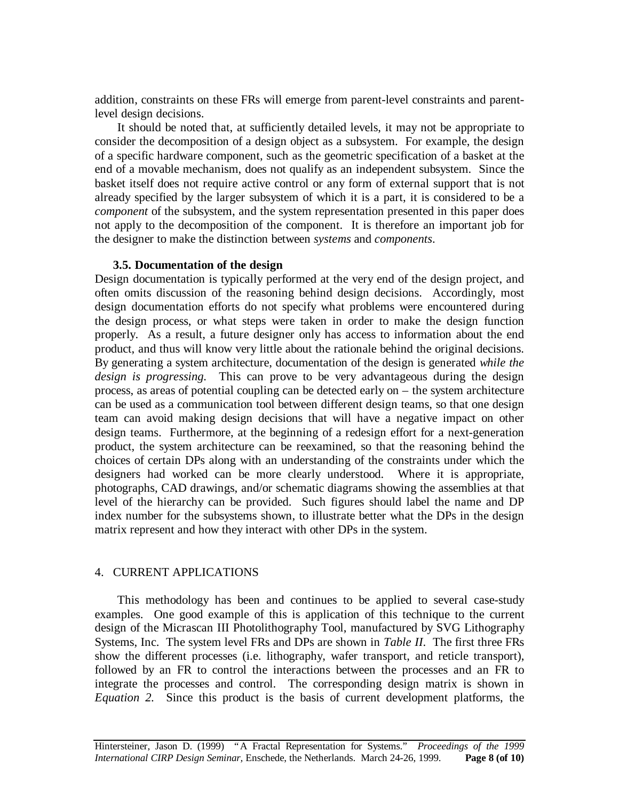addition, constraints on these FRs will emerge from parent-level constraints and parentlevel design decisions.

It should be noted that, at sufficiently detailed levels, it may not be appropriate to consider the decomposition of a design object as a subsystem. For example, the design of a specific hardware component, such as the geometric specification of a basket at the end of a movable mechanism, does not qualify as an independent subsystem. Since the basket itself does not require active control or any form of external support that is not already specified by the larger subsystem of which it is a part, it is considered to be a *component* of the subsystem, and the system representation presented in this paper does not apply to the decomposition of the component. It is therefore an important job for the designer to make the distinction between *systems* and *components*.

#### **3.5. Documentation of the design**

Design documentation is typically performed at the very end of the design project, and often omits discussion of the reasoning behind design decisions. Accordingly, most design documentation efforts do not specify what problems were encountered during the design process, or what steps were taken in order to make the design function properly. As a result, a future designer only has access to information about the end product, and thus will know very little about the rationale behind the original decisions. By generating a system architecture, documentation of the design is generated *while the design is progressing.* This can prove to be very advantageous during the design process, as areas of potential coupling can be detected early on – the system architecture can be used as a communication tool between different design teams, so that one design team can avoid making design decisions that will have a negative impact on other design teams. Furthermore, at the beginning of a redesign effort for a next-generation product, the system architecture can be reexamined, so that the reasoning behind the choices of certain DPs along with an understanding of the constraints under which the designers had worked can be more clearly understood. Where it is appropriate, photographs, CAD drawings, and/or schematic diagrams showing the assemblies at that level of the hierarchy can be provided. Such figures should label the name and DP index number for the subsystems shown, to illustrate better what the DPs in the design matrix represent and how they interact with other DPs in the system.

## 4. CURRENT APPLICATIONS

This methodology has been and continues to be applied to several case-study examples. One good example of this is application of this technique to the current design of the Micrascan III Photolithography Tool, manufactured by SVG Lithography Systems, Inc. The system level FRs and DPs are shown in *Table II*. The first three FRs show the different processes (i.e. lithography, wafer transport, and reticle transport), followed by an FR to control the interactions between the processes and an FR to integrate the processes and control. The corresponding design matrix is shown in *Equation 2*. Since this product is the basis of current development platforms, the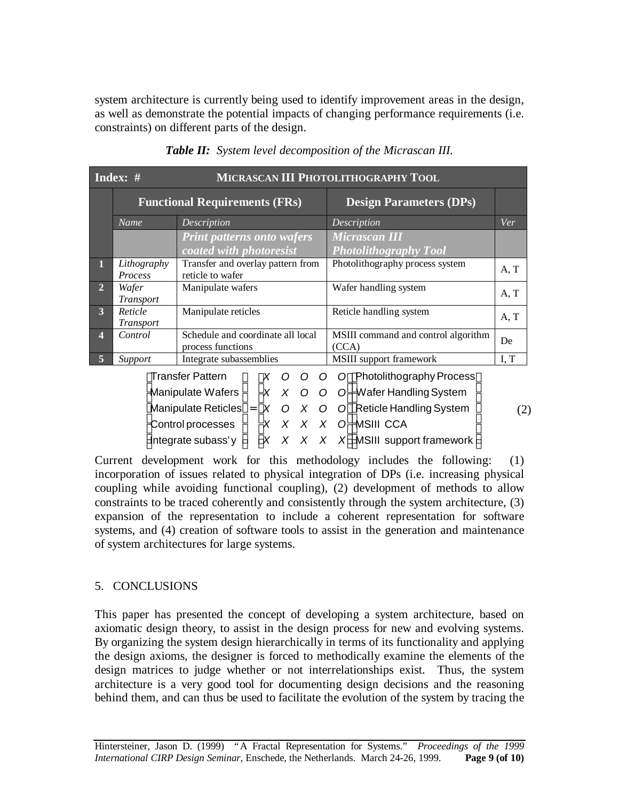system architecture is currently being used to identify improvement areas in the design, as well as demonstrate the potential impacts of changing performance requirements (i.e. constraints) on different parts of the design.

| Index: #<br>MICRASCAN III PHOTOLITHOGRAPHY TOOL |                                      |                                   |                                                        |     |   |                         |            |                              |                                 |                                               |     |  |
|-------------------------------------------------|--------------------------------------|-----------------------------------|--------------------------------------------------------|-----|---|-------------------------|------------|------------------------------|---------------------------------|-----------------------------------------------|-----|--|
|                                                 | <b>Functional Requirements (FRs)</b> |                                   |                                                        |     |   |                         |            |                              | <b>Design Parameters (DPs)</b>  |                                               |     |  |
|                                                 | Name                                 |                                   | Description                                            |     |   |                         |            |                              | Description                     | <i>Ver</i>                                    |     |  |
|                                                 |                                      | <b>Print patterns onto wafers</b> |                                                        |     |   |                         |            |                              | <b>Micrascan III</b>            |                                               |     |  |
|                                                 | coated with photoresist              |                                   |                                                        |     |   |                         |            | <b>Photolithography Tool</b> |                                 |                                               |     |  |
| 1                                               | Lithography<br>Process               |                                   | Transfer and overlay pattern from<br>reticle to wafer  |     |   |                         |            |                              | Photolithography process system | A, T                                          |     |  |
| $\overline{2}$                                  | Wafer<br>Transport                   |                                   | Manipulate wafers                                      |     |   |                         |            |                              |                                 | Wafer handling system                         |     |  |
| 3                                               | Reticle<br>Transport                 |                                   | Manipulate reticles                                    |     |   |                         |            |                              |                                 | Reticle handling system                       |     |  |
| 4                                               | Control                              |                                   | Schedule and coordinate all local<br>process functions |     |   |                         |            |                              |                                 | MSIII command and control algorithm<br>(CCA)  |     |  |
| $\overline{5}$                                  | Support                              | Integrate subassemblies           |                                                        |     |   | MSIII support framework | I, T       |                              |                                 |                                               |     |  |
|                                                 |                                      |                                   | <b>Transfer Pattern</b>                                |     |   | $X$ O                   | 0          | O                            | O                               | [Photolithography Process]                    |     |  |
|                                                 |                                      |                                   | Manipulate Wafers                                      |     |   | $X$ $X$ $0$             |            | $\overline{O}$               | O                               | Wafer Handling System                         |     |  |
|                                                 |                                      |                                   | <b>Manipulate Reticles</b>                             | $=$ |   | $X$ O $X$               |            | O                            | O                               | Reticle Handling System                       | (2) |  |
|                                                 |                                      |                                   | Control processes                                      |     |   |                         |            |                              | X X X X 01                      | ∥MSIII CCA                                    |     |  |
|                                                 |                                      |                                   | Integrate subass'y                                     |     | Χ |                         | $X \times$ |                              |                                 | $X \times \mathbb{N}$ MSIII support framework |     |  |

*Table II: System level decomposition of the Micrascan III.*

Current development work for this methodology includes the following: (1) incorporation of issues related to physical integration of DPs (i.e. increasing physical coupling while avoiding functional coupling), (2) development of methods to allow constraints to be traced coherently and consistently through the system architecture, (3) expansion of the representation to include a coherent representation for software systems, and (4) creation of software tools to assist in the generation and maintenance of system architectures for large systems.

## 5. CONCLUSIONS

This paper has presented the concept of developing a system architecture, based on axiomatic design theory, to assist in the design process for new and evolving systems. By organizing the system design hierarchically in terms of its functionality and applying the design axioms, the designer is forced to methodically examine the elements of the design matrices to judge whether or not interrelationships exist. Thus, the system architecture is a very good tool for documenting design decisions and the reasoning behind them, and can thus be used to facilitate the evolution of the system by tracing the